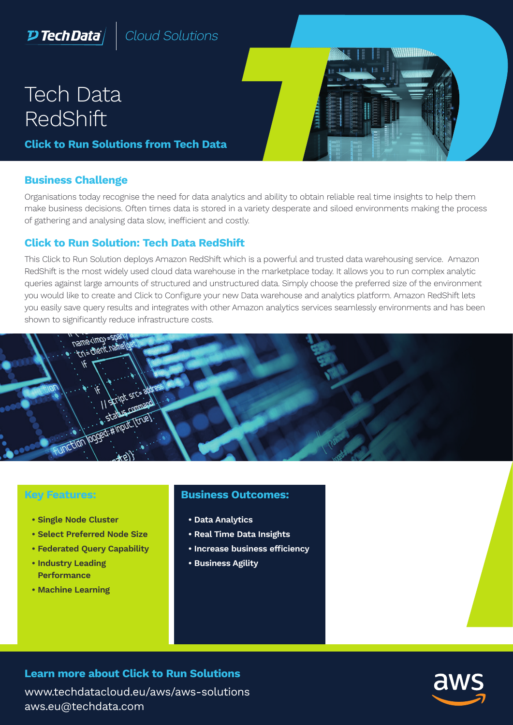# $D$  Tech Data $\rangle$

Cloud Solutions

# Tech Data RedShift

**Click to Run Solutions from Tech Data** 

#### **Business Challenge**

Organisations today recognise the need for data analytics and ability to obtain reliable real time insights to help them make business decisions. Often times data is stored in a variety desperate and siloed environments making the process of gathering and analysing data slow, inefficient and costly.

#### **Click to Run Solution: Tech Data RedShift**

This Click to Run Solution deploys Amazon RedShift which is a powerful and trusted data warehousing service. Amazon RedShift is the most widely used cloud data warehouse in the marketplace today. It allows you to run complex analytic queries against large amounts of structured and unstructured data. Simply choose the preferred size of the environment you would like to create and Click to Configure your new Data warehouse and analytics platform. Amazon RedShift lets you easily save query results and integrates with other Amazon analytics services seamlessly environments and has been shown to significantly reduce infrastructure costs.



#### **Key Features:**

- **Single Node Cluster**
- **Select Preferred Node Size**
- **Federated Query Capability**
- **Industry Leading Performance**
- **Machine Learning**

#### **Business Outcomes:**

- **Data Analytics**
- **Real Time Data Insights**
- **Increase business efficiency**
- **Business Agility**

### **Learn more about Click to Run Solutions**

www.techdatacloud.eu/aws/aws-solutions aws.eu@techdata.com